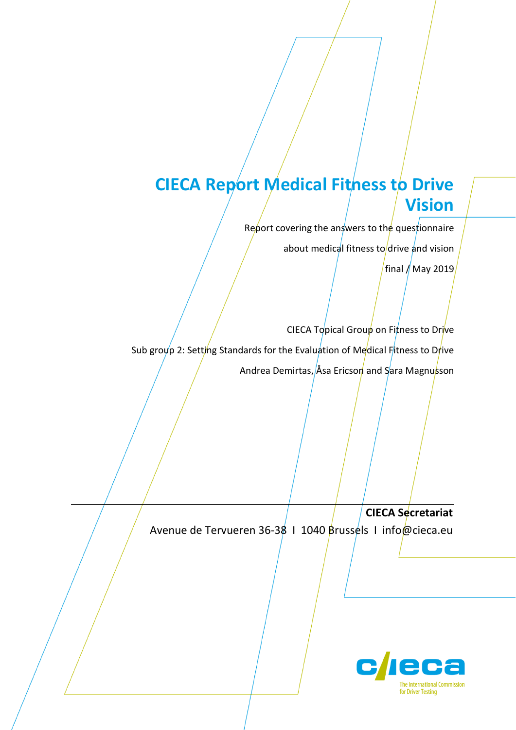# **CIECA Report Medical Fitness to Drive Vision**

Report covering the answers to the questionnaire

about medical fitness to drive and vision

final  $/$  May 2019

CIECA Topical Group on Fitness to Drive Sub group 2: Setting Standards for the Evaluation of Medical Fitness to Drive Andrea Demirtas, Åsa Ericson and Sara Magnusson

**CIECA Secretariat** Avenue de Tervueren 36-38 | 1040 Brussels | info@cieca.eu

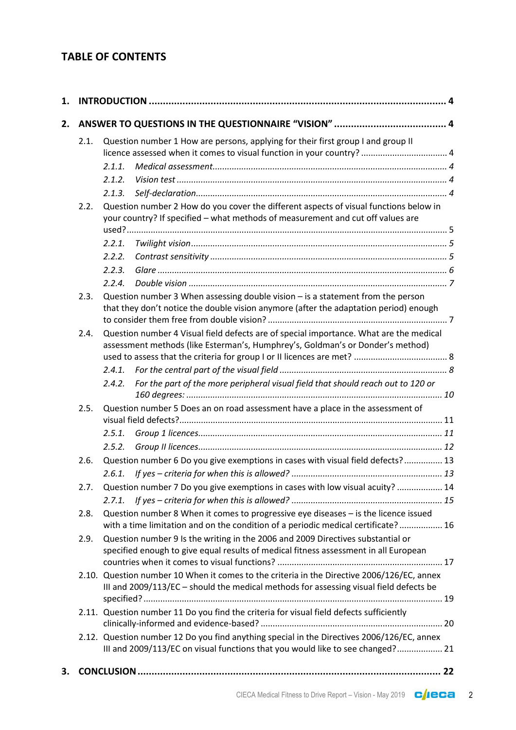## **TABLE OF CONTENTS**

| 1. |      |                                                                                                                                                                          |                                                                                                                                                                                      |  |  |
|----|------|--------------------------------------------------------------------------------------------------------------------------------------------------------------------------|--------------------------------------------------------------------------------------------------------------------------------------------------------------------------------------|--|--|
| 2. |      |                                                                                                                                                                          |                                                                                                                                                                                      |  |  |
|    | 2.1. |                                                                                                                                                                          | Question number 1 How are persons, applying for their first group I and group II<br>licence assessed when it comes to visual function in your country?  4                            |  |  |
|    |      | 2.1.1.                                                                                                                                                                   |                                                                                                                                                                                      |  |  |
|    |      | 2.1.2.                                                                                                                                                                   |                                                                                                                                                                                      |  |  |
|    |      | 2.1.3.                                                                                                                                                                   |                                                                                                                                                                                      |  |  |
|    | 2.2. |                                                                                                                                                                          | Question number 2 How do you cover the different aspects of visual functions below in                                                                                                |  |  |
|    |      | your country? If specified - what methods of measurement and cut off values are                                                                                          |                                                                                                                                                                                      |  |  |
|    |      |                                                                                                                                                                          |                                                                                                                                                                                      |  |  |
|    |      | 2.2.1.                                                                                                                                                                   |                                                                                                                                                                                      |  |  |
|    |      | 2.2.2.                                                                                                                                                                   |                                                                                                                                                                                      |  |  |
|    |      | 2.2.3.                                                                                                                                                                   |                                                                                                                                                                                      |  |  |
|    |      | 2.2.4.                                                                                                                                                                   |                                                                                                                                                                                      |  |  |
|    | 2.3. |                                                                                                                                                                          | Question number 3 When assessing double vision - is a statement from the person<br>that they don't notice the double vision anymore (after the adaptation period) enough             |  |  |
|    | 2.4. | Question number 4 Visual field defects are of special importance. What are the medical<br>assessment methods (like Esterman's, Humphrey's, Goldman's or Donder's method) |                                                                                                                                                                                      |  |  |
|    |      |                                                                                                                                                                          |                                                                                                                                                                                      |  |  |
|    |      | 2.4.1.                                                                                                                                                                   |                                                                                                                                                                                      |  |  |
|    |      | 2.4.2.                                                                                                                                                                   | For the part of the more peripheral visual field that should reach out to 120 or                                                                                                     |  |  |
|    | 2.5. |                                                                                                                                                                          | Question number 5 Does an on road assessment have a place in the assessment of                                                                                                       |  |  |
|    |      |                                                                                                                                                                          |                                                                                                                                                                                      |  |  |
|    |      | 2.5.1.                                                                                                                                                                   |                                                                                                                                                                                      |  |  |
|    |      | 2.5.2.                                                                                                                                                                   |                                                                                                                                                                                      |  |  |
|    | 2.6. |                                                                                                                                                                          | Question number 6 Do you give exemptions in cases with visual field defects? 13                                                                                                      |  |  |
|    |      | 2.6.1.                                                                                                                                                                   |                                                                                                                                                                                      |  |  |
|    | 2.7. |                                                                                                                                                                          | Question number 7 Do you give exemptions in cases with low visual acuity?  14                                                                                                        |  |  |
|    | 2.8. |                                                                                                                                                                          | Question number 8 When it comes to progressive eye diseases - is the licence issued<br>with a time limitation and on the condition of a periodic medical certificate? 16             |  |  |
|    | 2.9. | Question number 9 Is the writing in the 2006 and 2009 Directives substantial or<br>specified enough to give equal results of medical fitness assessment in all European  |                                                                                                                                                                                      |  |  |
|    |      |                                                                                                                                                                          | 2.10. Question number 10 When it comes to the criteria in the Directive 2006/126/EC, annex<br>III and 2009/113/EC - should the medical methods for assessing visual field defects be |  |  |
|    |      |                                                                                                                                                                          | 2.11. Question number 11 Do you find the criteria for visual field defects sufficiently                                                                                              |  |  |
|    |      |                                                                                                                                                                          | 2.12. Question number 12 Do you find anything special in the Directives 2006/126/EC, annex<br>III and 2009/113/EC on visual functions that you would like to see changed? 21         |  |  |
| З. |      |                                                                                                                                                                          |                                                                                                                                                                                      |  |  |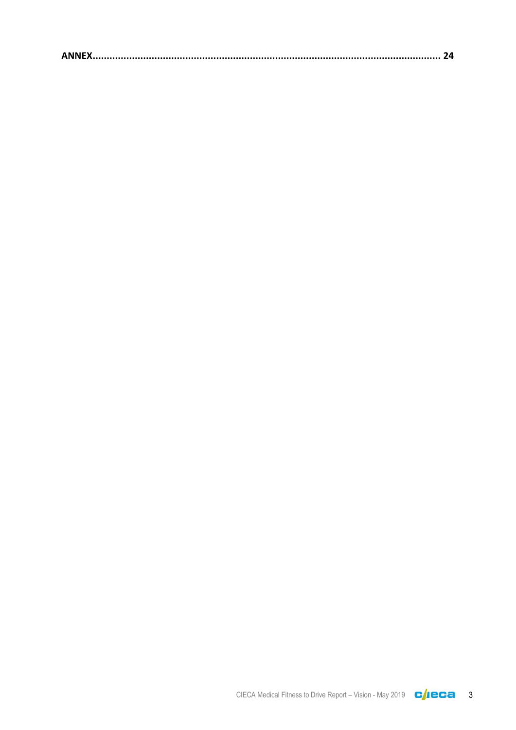|--|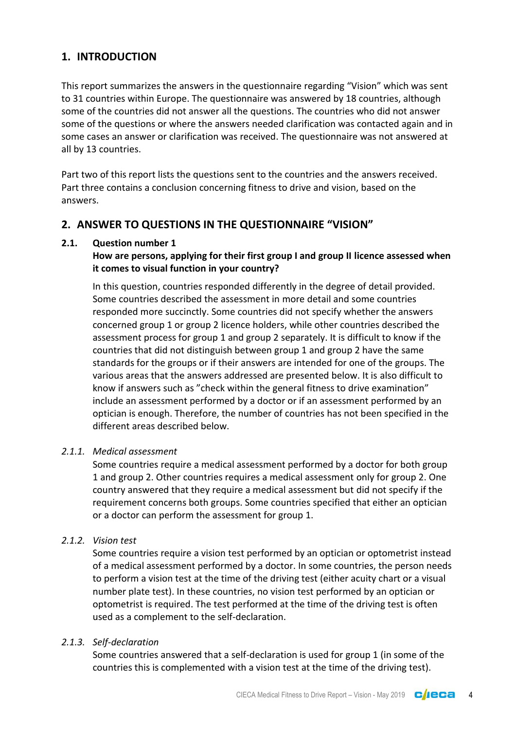## <span id="page-3-0"></span>**1. INTRODUCTION**

This report summarizes the answers in the questionnaire regarding "Vision" which was sent to 31 countries within Europe. The questionnaire was answered by 18 countries, although some of the countries did not answer all the questions. The countries who did not answer some of the questions or where the answers needed clarification was contacted again and in some cases an answer or clarification was received. The questionnaire was not answered at all by 13 countries.

Part two of this report lists the questions sent to the countries and the answers received. Part three contains a conclusion concerning fitness to drive and vision, based on the answers.

## <span id="page-3-1"></span>**2. ANSWER TO QUESTIONS IN THE QUESTIONNAIRE "VISION"**

## <span id="page-3-2"></span>**2.1. Question number 1**

## **How are persons, applying for their first group I and group II licence assessed when it comes to visual function in your country?**

In this question, countries responded differently in the degree of detail provided. Some countries described the assessment in more detail and some countries responded more succinctly. Some countries did not specify whether the answers concerned group 1 or group 2 licence holders, while other countries described the assessment process for group 1 and group 2 separately. It is difficult to know if the countries that did not distinguish between group 1 and group 2 have the same standards for the groups or if their answers are intended for one of the groups. The various areas that the answers addressed are presented below. It is also difficult to know if answers such as "check within the general fitness to drive examination" include an assessment performed by a doctor or if an assessment performed by an optician is enough. Therefore, the number of countries has not been specified in the different areas described below.

#### <span id="page-3-3"></span>*2.1.1. Medical assessment*

Some countries require a medical assessment performed by a doctor for both group 1 and group 2. Other countries requires a medical assessment only for group 2. One country answered that they require a medical assessment but did not specify if the requirement concerns both groups. Some countries specified that either an optician or a doctor can perform the assessment for group 1.

#### <span id="page-3-4"></span>*2.1.2. Vision test*

Some countries require a vision test performed by an optician or optometrist instead of a medical assessment performed by a doctor. In some countries, the person needs to perform a vision test at the time of the driving test (either acuity chart or a visual number plate test). In these countries, no vision test performed by an optician or optometrist is required. The test performed at the time of the driving test is often used as a complement to the self-declaration.

### <span id="page-3-5"></span>*2.1.3. Self-declaration*

Some countries answered that a self-declaration is used for group 1 (in some of the countries this is complemented with a vision test at the time of the driving test).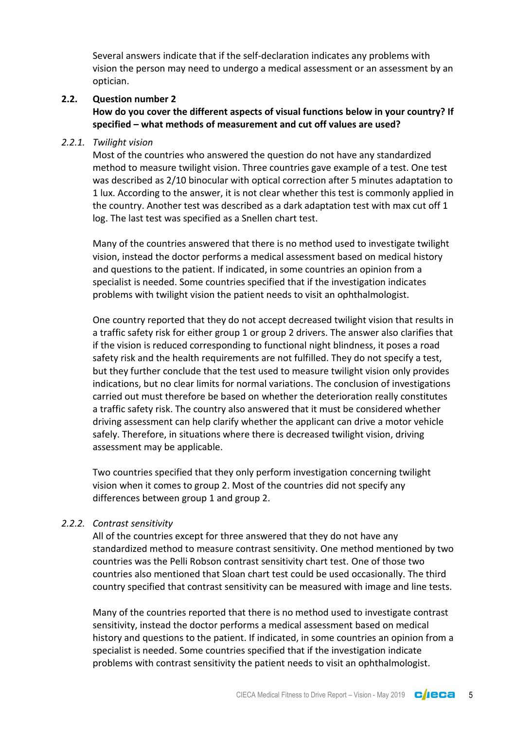Several answers indicate that if the self-declaration indicates any problems with vision the person may need to undergo a medical assessment or an assessment by an optician.

#### <span id="page-4-0"></span>**2.2. Question number 2**

**How do you cover the different aspects of visual functions below in your country? If specified – what methods of measurement and cut off values are used?**

#### <span id="page-4-1"></span>*2.2.1. Twilight vision*

Most of the countries who answered the question do not have any standardized method to measure twilight vision. Three countries gave example of a test. One test was described as 2/10 binocular with optical correction after 5 minutes adaptation to 1 lux. According to the answer, it is not clear whether this test is commonly applied in the country. Another test was described as a dark adaptation test with max cut off 1 log. The last test was specified as a Snellen chart test.

Many of the countries answered that there is no method used to investigate twilight vision, instead the doctor performs a medical assessment based on medical history and questions to the patient. If indicated, in some countries an opinion from a specialist is needed. Some countries specified that if the investigation indicates problems with twilight vision the patient needs to visit an ophthalmologist.

One country reported that they do not accept decreased twilight vision that results in a traffic safety risk for either group 1 or group 2 drivers. The answer also clarifies that if the vision is reduced corresponding to functional night blindness, it poses a road safety risk and the health requirements are not fulfilled. They do not specify a test, but they further conclude that the test used to measure twilight vision only provides indications, but no clear limits for normal variations. The conclusion of investigations carried out must therefore be based on whether the deterioration really constitutes a traffic safety risk. The country also answered that it must be considered whether driving assessment can help clarify whether the applicant can drive a motor vehicle safely. Therefore, in situations where there is decreased twilight vision, driving assessment may be applicable.

Two countries specified that they only perform investigation concerning twilight vision when it comes to group 2. Most of the countries did not specify any differences between group 1 and group 2.

#### <span id="page-4-2"></span>*2.2.2. Contrast sensitivity*

All of the countries except for three answered that they do not have any standardized method to measure contrast sensitivity. One method mentioned by two countries was the Pelli Robson contrast sensitivity chart test. One of those two countries also mentioned that Sloan chart test could be used occasionally. The third country specified that contrast sensitivity can be measured with image and line tests.

Many of the countries reported that there is no method used to investigate contrast sensitivity, instead the doctor performs a medical assessment based on medical history and questions to the patient. If indicated, in some countries an opinion from a specialist is needed. Some countries specified that if the investigation indicate problems with contrast sensitivity the patient needs to visit an ophthalmologist.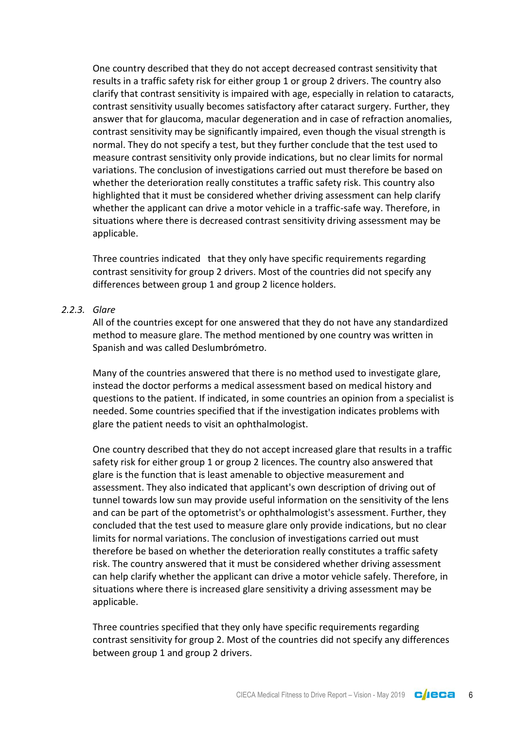One country described that they do not accept decreased contrast sensitivity that results in a traffic safety risk for either group 1 or group 2 drivers. The country also clarify that contrast sensitivity is impaired with age, especially in relation to cataracts, contrast sensitivity usually becomes satisfactory after cataract surgery. Further, they answer that for glaucoma, macular degeneration and in case of refraction anomalies, contrast sensitivity may be significantly impaired, even though the visual strength is normal. They do not specify a test, but they further conclude that the test used to measure contrast sensitivity only provide indications, but no clear limits for normal variations. The conclusion of investigations carried out must therefore be based on whether the deterioration really constitutes a traffic safety risk. This country also highlighted that it must be considered whether driving assessment can help clarify whether the applicant can drive a motor vehicle in a traffic-safe way. Therefore, in situations where there is decreased contrast sensitivity driving assessment may be applicable.

Three countries indicated that they only have specific requirements regarding contrast sensitivity for group 2 drivers. Most of the countries did not specify any differences between group 1 and group 2 licence holders.

## <span id="page-5-0"></span>*2.2.3. Glare*

All of the countries except for one answered that they do not have any standardized method to measure glare. The method mentioned by one country was written in Spanish and was called Deslumbrómetro.

Many of the countries answered that there is no method used to investigate glare, instead the doctor performs a medical assessment based on medical history and questions to the patient. If indicated, in some countries an opinion from a specialist is needed. Some countries specified that if the investigation indicates problems with glare the patient needs to visit an ophthalmologist.

One country described that they do not accept increased glare that results in a traffic safety risk for either group 1 or group 2 licences. The country also answered that glare is the function that is least amenable to objective measurement and assessment. They also indicated that applicant's own description of driving out of tunnel towards low sun may provide useful information on the sensitivity of the lens and can be part of the optometrist's or ophthalmologist's assessment. Further, they concluded that the test used to measure glare only provide indications, but no clear limits for normal variations. The conclusion of investigations carried out must therefore be based on whether the deterioration really constitutes a traffic safety risk. The country answered that it must be considered whether driving assessment can help clarify whether the applicant can drive a motor vehicle safely. Therefore, in situations where there is increased glare sensitivity a driving assessment may be applicable.

Three countries specified that they only have specific requirements regarding contrast sensitivity for group 2. Most of the countries did not specify any differences between group 1 and group 2 drivers.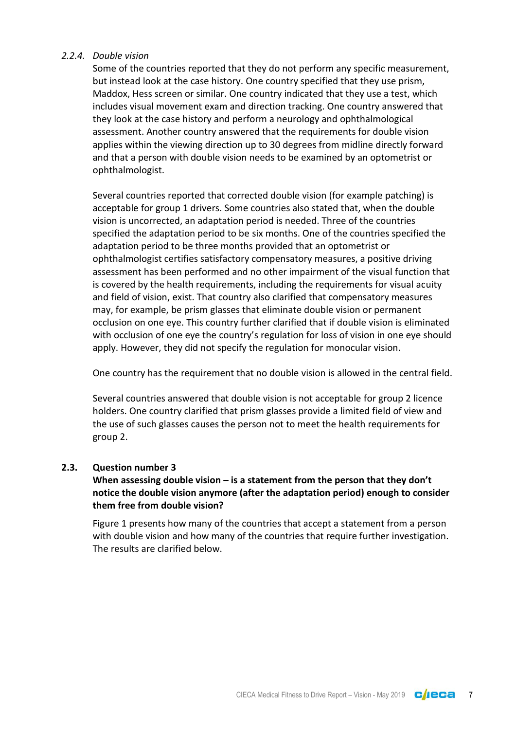#### <span id="page-6-0"></span>*2.2.4. Double vision*

Some of the countries reported that they do not perform any specific measurement, but instead look at the case history. One country specified that they use prism, Maddox, Hess screen or similar. One country indicated that they use a test, which includes visual movement exam and direction tracking. One country answered that they look at the case history and perform a neurology and ophthalmological assessment. Another country answered that the requirements for double vision applies within the viewing direction up to 30 degrees from midline directly forward and that a person with double vision needs to be examined by an optometrist or ophthalmologist.

Several countries reported that corrected double vision (for example patching) is acceptable for group 1 drivers. Some countries also stated that, when the double vision is uncorrected, an adaptation period is needed. Three of the countries specified the adaptation period to be six months. One of the countries specified the adaptation period to be three months provided that an optometrist or ophthalmologist certifies satisfactory compensatory measures, a positive driving assessment has been performed and no other impairment of the visual function that is covered by the health requirements, including the requirements for visual acuity and field of vision, exist. That country also clarified that compensatory measures may, for example, be prism glasses that eliminate double vision or permanent occlusion on one eye. This country further clarified that if double vision is eliminated with occlusion of one eye the country's regulation for loss of vision in one eye should apply. However, they did not specify the regulation for monocular vision.

One country has the requirement that no double vision is allowed in the central field.

Several countries answered that double vision is not acceptable for group 2 licence holders. One country clarified that prism glasses provide a limited field of view and the use of such glasses causes the person not to meet the health requirements for group 2.

## <span id="page-6-1"></span>**2.3. Question number 3**

## **When assessing double vision – is a statement from the person that they don't notice the double vision anymore (after the adaptation period) enough to consider them free from double vision?**

Figure 1 presents how many of the countries that accept a statement from a person with double vision and how many of the countries that require further investigation. The results are clarified below.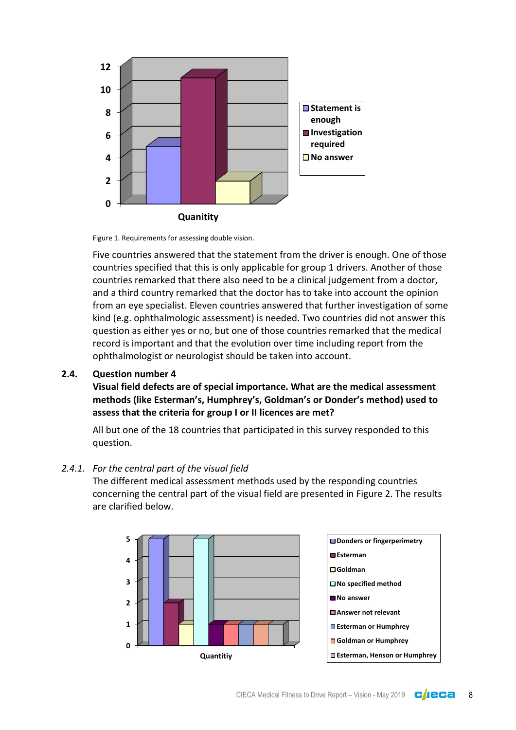

Figure 1. Requirements for assessing double vision.

Five countries answered that the statement from the driver is enough. One of those countries specified that this is only applicable for group 1 drivers. Another of those countries remarked that there also need to be a clinical judgement from a doctor, and a third country remarked that the doctor has to take into account the opinion from an eye specialist. Eleven countries answered that further investigation of some kind (e.g. ophthalmologic assessment) is needed. Two countries did not answer this question as either yes or no, but one of those countries remarked that the medical record is important and that the evolution over time including report from the ophthalmologist or neurologist should be taken into account.

#### <span id="page-7-0"></span>**2.4. Question number 4**

**Visual field defects are of special importance. What are the medical assessment methods (like Esterman's, Humphrey's, Goldman's or Donder's method) used to assess that the criteria for group I or II licences are met?**

All but one of the 18 countries that participated in this survey responded to this question.

#### <span id="page-7-1"></span>*2.4.1. For the central part of the visual field*

The different medical assessment methods used by the responding countries concerning the central part of the visual field are presented in Figure 2. The results are clarified below.

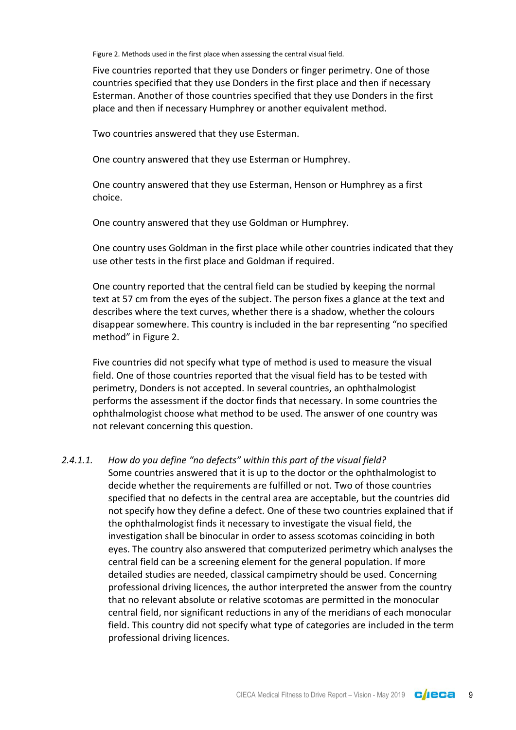Figure 2. Methods used in the first place when assessing the central visual field.

Five countries reported that they use Donders or finger perimetry. One of those countries specified that they use Donders in the first place and then if necessary Esterman. Another of those countries specified that they use Donders in the first place and then if necessary Humphrey or another equivalent method.

Two countries answered that they use Esterman.

One country answered that they use Esterman or Humphrey.

One country answered that they use Esterman, Henson or Humphrey as a first choice.

One country answered that they use Goldman or Humphrey.

One country uses Goldman in the first place while other countries indicated that they use other tests in the first place and Goldman if required.

One country reported that the central field can be studied by keeping the normal text at 57 cm from the eyes of the subject. The person fixes a glance at the text and describes where the text curves, whether there is a shadow, whether the colours disappear somewhere. This country is included in the bar representing "no specified method" in Figure 2.

Five countries did not specify what type of method is used to measure the visual field. One of those countries reported that the visual field has to be tested with perimetry, Donders is not accepted. In several countries, an ophthalmologist performs the assessment if the doctor finds that necessary. In some countries the ophthalmologist choose what method to be used. The answer of one country was not relevant concerning this question.

#### *2.4.1.1. How do you define "no defects" within this part of the visual field?*

Some countries answered that it is up to the doctor or the ophthalmologist to decide whether the requirements are fulfilled or not. Two of those countries specified that no defects in the central area are acceptable, but the countries did not specify how they define a defect. One of these two countries explained that if the ophthalmologist finds it necessary to investigate the visual field, the investigation shall be binocular in order to assess scotomas coinciding in both eyes. The country also answered that computerized perimetry which analyses the central field can be a screening element for the general population. If more detailed studies are needed, classical campimetry should be used. Concerning professional driving licences, the author interpreted the answer from the country that no relevant absolute or relative scotomas are permitted in the monocular central field, nor significant reductions in any of the meridians of each monocular field. This country did not specify what type of categories are included in the term professional driving licences.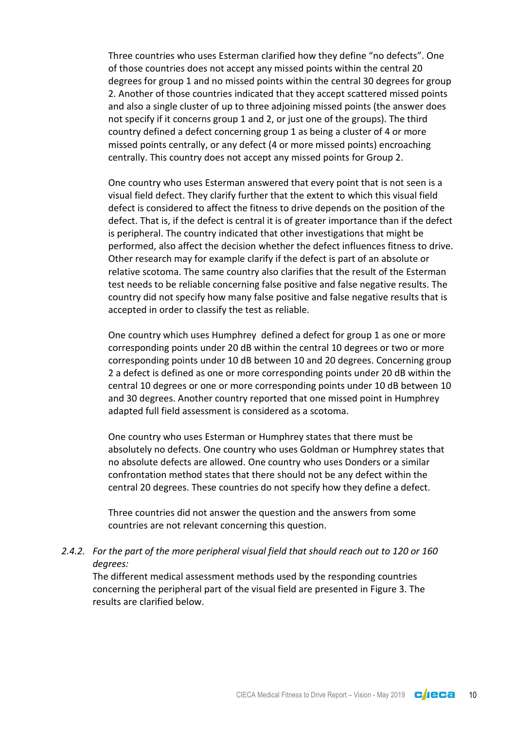Three countries who uses Esterman clarified how they define "no defects". One of those countries does not accept any missed points within the central 20 degrees for group 1 and no missed points within the central 30 degrees for group 2. Another of those countries indicated that they accept scattered missed points and also a single cluster of up to three adjoining missed points (the answer does not specify if it concerns group 1 and 2, or just one of the groups). The third country defined a defect concerning group 1 as being a cluster of 4 or more missed points centrally, or any defect (4 or more missed points) encroaching centrally. This country does not accept any missed points for Group 2.

One country who uses Esterman answered that every point that is not seen is a visual field defect. They clarify further that the extent to which this visual field defect is considered to affect the fitness to drive depends on the position of the defect. That is, if the defect is central it is of greater importance than if the defect is peripheral. The country indicated that other investigations that might be performed, also affect the decision whether the defect influences fitness to drive. Other research may for example clarify if the defect is part of an absolute or relative scotoma. The same country also clarifies that the result of the Esterman test needs to be reliable concerning false positive and false negative results. The country did not specify how many false positive and false negative results that is accepted in order to classify the test as reliable.

One country which uses Humphrey defined a defect for group 1 as one or more corresponding points under 20 dB within the central 10 degrees or two or more corresponding points under 10 dB between 10 and 20 degrees. Concerning group 2 a defect is defined as one or more corresponding points under 20 dB within the central 10 degrees or one or more corresponding points under 10 dB between 10 and 30 degrees. Another country reported that one missed point in Humphrey adapted full field assessment is considered as a scotoma.

One country who uses Esterman or Humphrey states that there must be absolutely no defects. One country who uses Goldman or Humphrey states that no absolute defects are allowed. One country who uses Donders or a similar confrontation method states that there should not be any defect within the central 20 degrees. These countries do not specify how they define a defect.

Three countries did not answer the question and the answers from some countries are not relevant concerning this question.

#### <span id="page-9-0"></span>*2.4.2. For the part of the more peripheral visual field that should reach out to 120 or 160 degrees:*

The different medical assessment methods used by the responding countries concerning the peripheral part of the visual field are presented in Figure 3. The results are clarified below.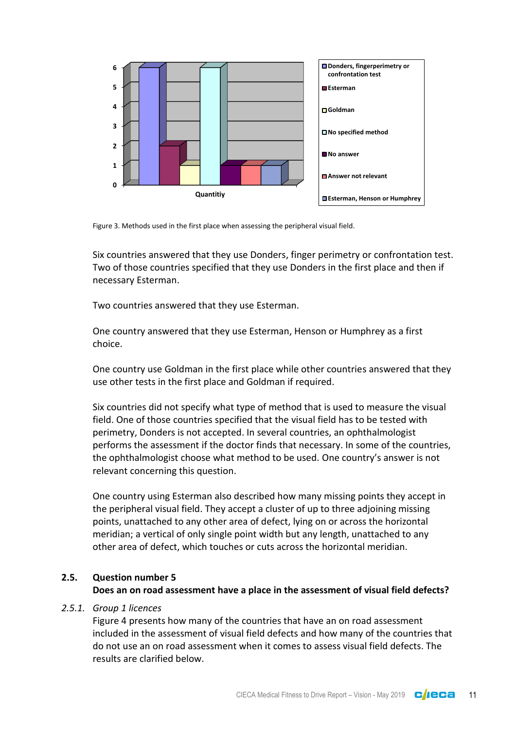

Figure 3. Methods used in the first place when assessing the peripheral visual field.

Six countries answered that they use Donders, finger perimetry or confrontation test. Two of those countries specified that they use Donders in the first place and then if necessary Esterman.

Two countries answered that they use Esterman.

One country answered that they use Esterman, Henson or Humphrey as a first choice.

One country use Goldman in the first place while other countries answered that they use other tests in the first place and Goldman if required.

Six countries did not specify what type of method that is used to measure the visual field. One of those countries specified that the visual field has to be tested with perimetry, Donders is not accepted. In several countries, an ophthalmologist performs the assessment if the doctor finds that necessary. In some of the countries, the ophthalmologist choose what method to be used. One country's answer is not relevant concerning this question.

One country using Esterman also described how many missing points they accept in the peripheral visual field. They accept a cluster of up to three adjoining missing points, unattached to any other area of defect, lying on or across the horizontal meridian; a vertical of only single point width but any length, unattached to any other area of defect, which touches or cuts across the horizontal meridian.

#### <span id="page-10-0"></span>**2.5. Question number 5**

#### **Does an on road assessment have a place in the assessment of visual field defects?**

#### <span id="page-10-1"></span>*2.5.1. Group 1 licences*

Figure 4 presents how many of the countries that have an on road assessment included in the assessment of visual field defects and how many of the countries that do not use an on road assessment when it comes to assess visual field defects. The results are clarified below.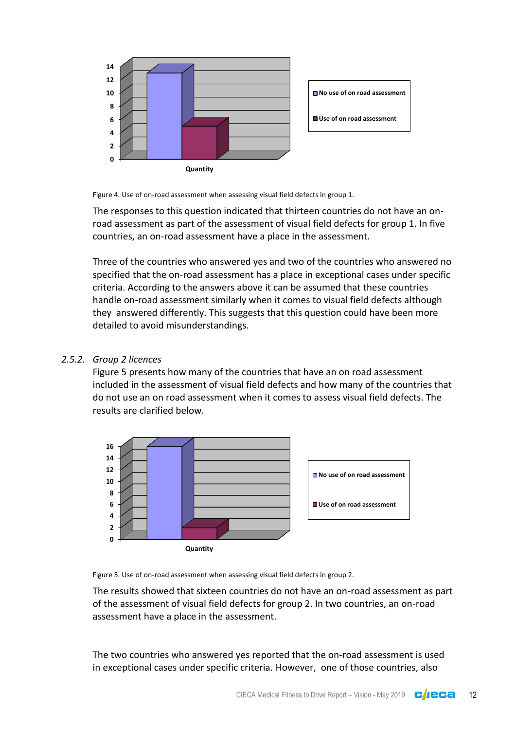

Figure 4. Use of on-road assessment when assessing visual field defects in group 1.

The responses to this question indicated that thirteen countries do not have an onroad assessment as part of the assessment of visual field defects for group 1. In five countries, an on-road assessment have a place in the assessment.

Three of the countries who answered yes and two of the countries who answered no specified that the on-road assessment has a place in exceptional cases under specific criteria. According to the answers above it can be assumed that these countries handle on-road assessment similarly when it comes to visual field defects although they answered differently. This suggests that this question could have been more detailed to avoid misunderstandings.

#### <span id="page-11-0"></span>*2.5.2. Group 2 licences*

Figure 5 presents how many of the countries that have an on road assessment included in the assessment of visual field defects and how many of the countries that do not use an on road assessment when it comes to assess visual field defects. The results are clarified below.



Figure 5. Use of on-road assessment when assessing visual field defects in group 2.

The results showed that sixteen countries do not have an on-road assessment as part of the assessment of visual field defects for group 2. In two countries, an on-road assessment have a place in the assessment.

The two countries who answered yes reported that the on-road assessment is used in exceptional cases under specific criteria. However, one of those countries, also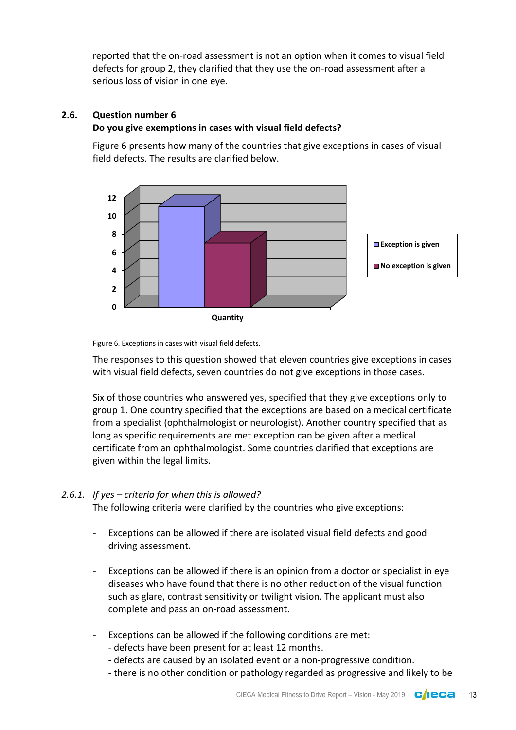reported that the on-road assessment is not an option when it comes to visual field defects for group 2, they clarified that they use the on-road assessment after a serious loss of vision in one eye.

## <span id="page-12-0"></span>**2.6. Question number 6**

## **Do you give exemptions in cases with visual field defects?**

Figure 6 presents how many of the countries that give exceptions in cases of visual field defects. The results are clarified below.



Figure 6. Exceptions in cases with visual field defects.

The responses to this question showed that eleven countries give exceptions in cases with visual field defects, seven countries do not give exceptions in those cases.

Six of those countries who answered yes, specified that they give exceptions only to group 1. One country specified that the exceptions are based on a medical certificate from a specialist (ophthalmologist or neurologist). Another country specified that as long as specific requirements are met exception can be given after a medical certificate from an ophthalmologist. Some countries clarified that exceptions are given within the legal limits.

## <span id="page-12-1"></span>*2.6.1. If yes – criteria for when this is allowed?*

The following criteria were clarified by the countries who give exceptions:

- Exceptions can be allowed if there are isolated visual field defects and good driving assessment.
- Exceptions can be allowed if there is an opinion from a doctor or specialist in eye diseases who have found that there is no other reduction of the visual function such as glare, contrast sensitivity or twilight vision. The applicant must also complete and pass an on-road assessment.
- Exceptions can be allowed if the following conditions are met:
	- defects have been present for at least 12 months.
	- defects are caused by an isolated event or a non-progressive condition.
	- there is no other condition or pathology regarded as progressive and likely to be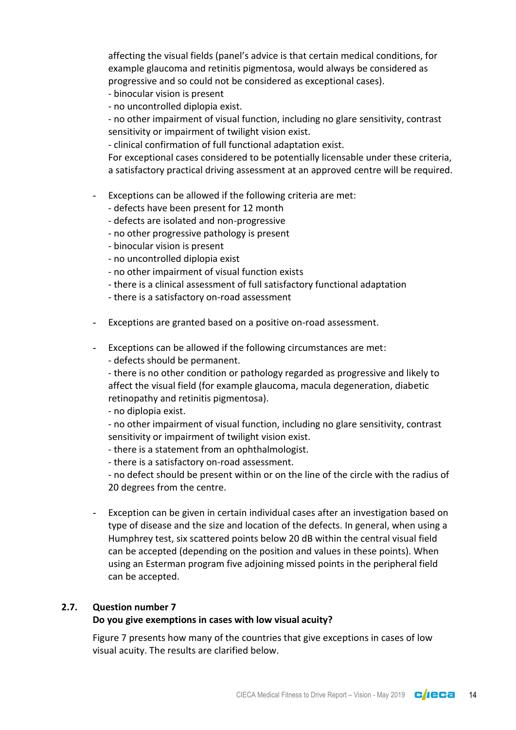affecting the visual fields (panel's advice is that certain medical conditions, for example glaucoma and retinitis pigmentosa, would always be considered as progressive and so could not be considered as exceptional cases).

- binocular vision is present
- no uncontrolled diplopia exist.

- no other impairment of visual function, including no glare sensitivity, contrast sensitivity or impairment of twilight vision exist.

- clinical confirmation of full functional adaptation exist.

For exceptional cases considered to be potentially licensable under these criteria, a satisfactory practical driving assessment at an approved centre will be required.

- Exceptions can be allowed if the following criteria are met:
	- defects have been present for 12 month
	- defects are isolated and non-progressive
	- no other progressive pathology is present
	- binocular vision is present
	- no uncontrolled diplopia exist
	- no other impairment of visual function exists
	- there is a clinical assessment of full satisfactory functional adaptation
	- there is a satisfactory on-road assessment
- Exceptions are granted based on a positive on-road assessment.
- Exceptions can be allowed if the following circumstances are met:
	- defects should be permanent.

- there is no other condition or pathology regarded as progressive and likely to affect the visual field (for example glaucoma, macula degeneration, diabetic retinopathy and retinitis pigmentosa).

- no diplopia exist.

- no other impairment of visual function, including no glare sensitivity, contrast sensitivity or impairment of twilight vision exist.

- there is a statement from an ophthalmologist.

- there is a satisfactory on-road assessment.

- no defect should be present within or on the line of the circle with the radius of 20 degrees from the centre.

Exception can be given in certain individual cases after an investigation based on type of disease and the size and location of the defects. In general, when using a Humphrey test, six scattered points below 20 dB within the central visual field can be accepted (depending on the position and values in these points). When using an Esterman program five adjoining missed points in the peripheral field can be accepted.

## <span id="page-13-0"></span>**2.7. Question number 7**

#### **Do you give exemptions in cases with low visual acuity?**

Figure 7 presents how many of the countries that give exceptions in cases of low visual acuity. The results are clarified below.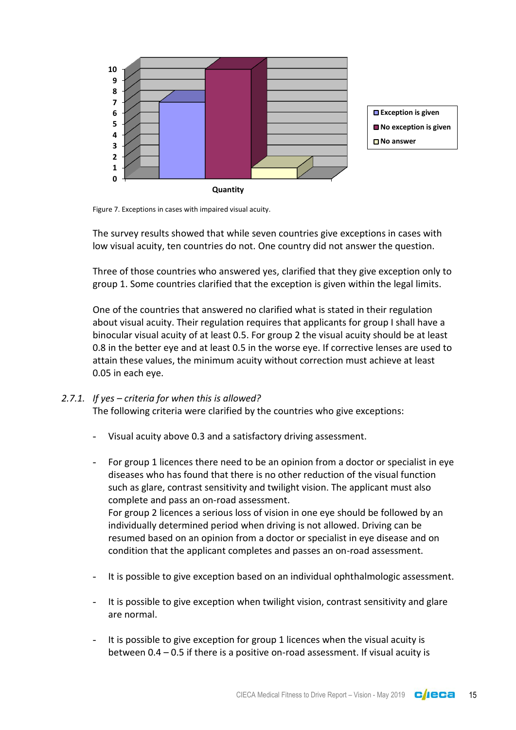

Figure 7. Exceptions in cases with impaired visual acuity.

The survey results showed that while seven countries give exceptions in cases with low visual acuity, ten countries do not. One country did not answer the question.

Three of those countries who answered yes, clarified that they give exception only to group 1. Some countries clarified that the exception is given within the legal limits.

One of the countries that answered no clarified what is stated in their regulation about visual acuity. Their regulation requires that applicants for group I shall have a binocular visual acuity of at least 0.5. For group 2 the visual acuity should be at least 0.8 in the better eye and at least 0.5 in the worse eye. If corrective lenses are used to attain these values, the minimum acuity without correction must achieve at least 0.05 in each eye.

#### <span id="page-14-0"></span>*2.7.1. If yes – criteria for when this is allowed?*

The following criteria were clarified by the countries who give exceptions:

- Visual acuity above 0.3 and a satisfactory driving assessment.
- For group 1 licences there need to be an opinion from a doctor or specialist in eye diseases who has found that there is no other reduction of the visual function such as glare, contrast sensitivity and twilight vision. The applicant must also complete and pass an on-road assessment. For group 2 licences a serious loss of vision in one eye should be followed by an individually determined period when driving is not allowed. Driving can be resumed based on an opinion from a doctor or specialist in eye disease and on condition that the applicant completes and passes an on-road assessment.
- It is possible to give exception based on an individual ophthalmologic assessment.
- It is possible to give exception when twilight vision, contrast sensitivity and glare are normal.
- It is possible to give exception for group 1 licences when the visual acuity is between 0.4 – 0.5 if there is a positive on-road assessment. If visual acuity is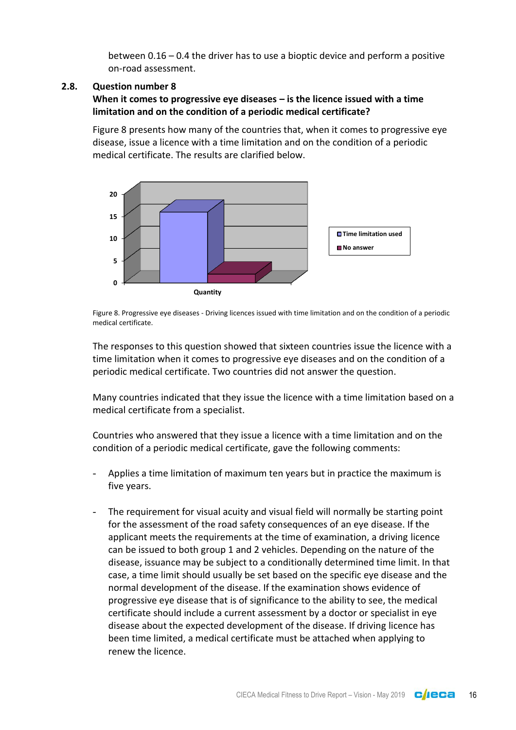between 0.16 – 0.4 the driver has to use a bioptic device and perform a positive on-road assessment.

## <span id="page-15-0"></span>**2.8. Question number 8**

**When it comes to progressive eye diseases – is the licence issued with a time limitation and on the condition of a periodic medical certificate?**

Figure 8 presents how many of the countries that, when it comes to progressive eye disease, issue a licence with a time limitation and on the condition of a periodic medical certificate. The results are clarified below.



Figure 8. Progressive eye diseases - Driving licences issued with time limitation and on the condition of a periodic medical certificate.

The responses to this question showed that sixteen countries issue the licence with a time limitation when it comes to progressive eye diseases and on the condition of a periodic medical certificate. Two countries did not answer the question.

Many countries indicated that they issue the licence with a time limitation based on a medical certificate from a specialist.

Countries who answered that they issue a licence with a time limitation and on the condition of a periodic medical certificate, gave the following comments:

- Applies a time limitation of maximum ten years but in practice the maximum is five years.
- The requirement for visual acuity and visual field will normally be starting point for the assessment of the road safety consequences of an eye disease. If the applicant meets the requirements at the time of examination, a driving licence can be issued to both group 1 and 2 vehicles. Depending on the nature of the disease, issuance may be subject to a conditionally determined time limit. In that case, a time limit should usually be set based on the specific eye disease and the normal development of the disease. If the examination shows evidence of progressive eye disease that is of significance to the ability to see, the medical certificate should include a current assessment by a doctor or specialist in eye disease about the expected development of the disease. If driving licence has been time limited, a medical certificate must be attached when applying to renew the licence.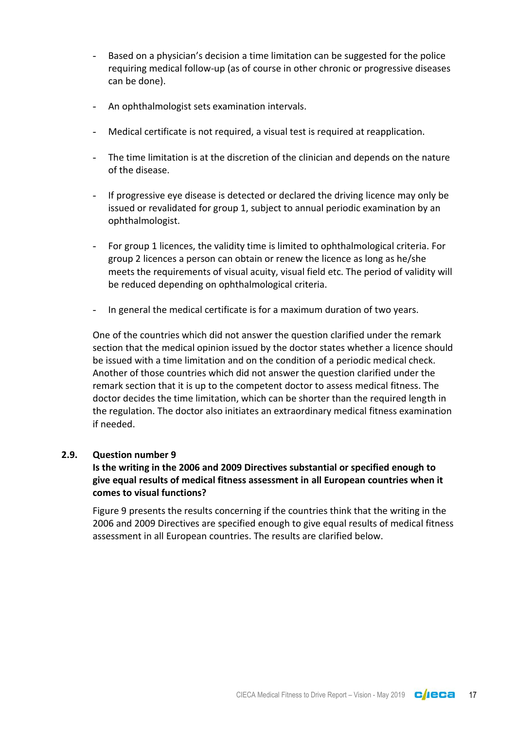- Based on a physician's decision a time limitation can be suggested for the police requiring medical follow-up (as of course in other chronic or progressive diseases can be done).
- An ophthalmologist sets examination intervals.
- Medical certificate is not required, a visual test is required at reapplication.
- The time limitation is at the discretion of the clinician and depends on the nature of the disease.
- If progressive eye disease is detected or declared the driving licence may only be issued or revalidated for group 1, subject to annual periodic examination by an ophthalmologist.
- For group 1 licences, the validity time is limited to ophthalmological criteria. For group 2 licences a person can obtain or renew the licence as long as he/she meets the requirements of visual acuity, visual field etc. The period of validity will be reduced depending on ophthalmological criteria.
- In general the medical certificate is for a maximum duration of two years.

One of the countries which did not answer the question clarified under the remark section that the medical opinion issued by the doctor states whether a licence should be issued with a time limitation and on the condition of a periodic medical check. Another of those countries which did not answer the question clarified under the remark section that it is up to the competent doctor to assess medical fitness. The doctor decides the time limitation, which can be shorter than the required length in the regulation. The doctor also initiates an extraordinary medical fitness examination if needed.

#### <span id="page-16-0"></span>**2.9. Question number 9**

## **Is the writing in the 2006 and 2009 Directives substantial or specified enough to give equal results of medical fitness assessment in all European countries when it comes to visual functions?**

Figure 9 presents the results concerning if the countries think that the writing in the 2006 and 2009 Directives are specified enough to give equal results of medical fitness assessment in all European countries. The results are clarified below.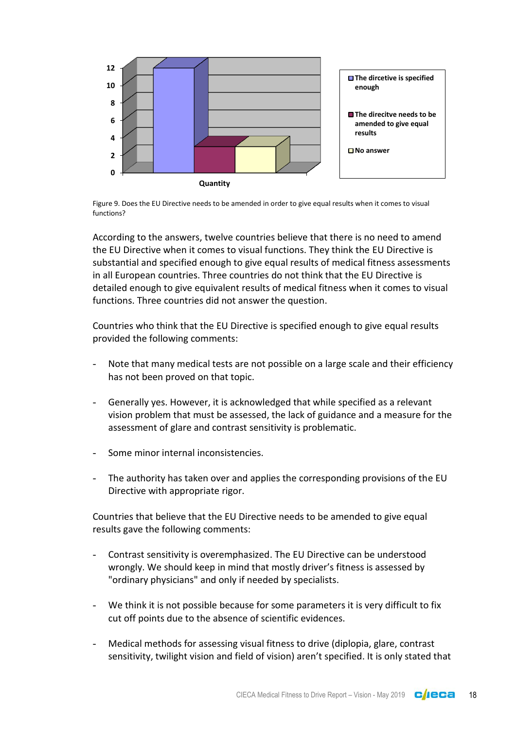

Figure 9. Does the EU Directive needs to be amended in order to give equal results when it comes to visual functions?

According to the answers, twelve countries believe that there is no need to amend the EU Directive when it comes to visual functions. They think the EU Directive is substantial and specified enough to give equal results of medical fitness assessments in all European countries. Three countries do not think that the EU Directive is detailed enough to give equivalent results of medical fitness when it comes to visual functions. Three countries did not answer the question.

Countries who think that the EU Directive is specified enough to give equal results provided the following comments:

- Note that many medical tests are not possible on a large scale and their efficiency has not been proved on that topic.
- Generally yes. However, it is acknowledged that while specified as a relevant vision problem that must be assessed, the lack of guidance and a measure for the assessment of glare and contrast sensitivity is problematic.
- Some minor internal inconsistencies.
- The authority has taken over and applies the corresponding provisions of the EU Directive with appropriate rigor.

Countries that believe that the EU Directive needs to be amended to give equal results gave the following comments:

- Contrast sensitivity is overemphasized. The EU Directive can be understood wrongly. We should keep in mind that mostly driver's fitness is assessed by "ordinary physicians" and only if needed by specialists.
- We think it is not possible because for some parameters it is very difficult to fix cut off points due to the absence of scientific evidences.
- Medical methods for assessing visual fitness to drive (diplopia, glare, contrast sensitivity, twilight vision and field of vision) aren't specified. It is only stated that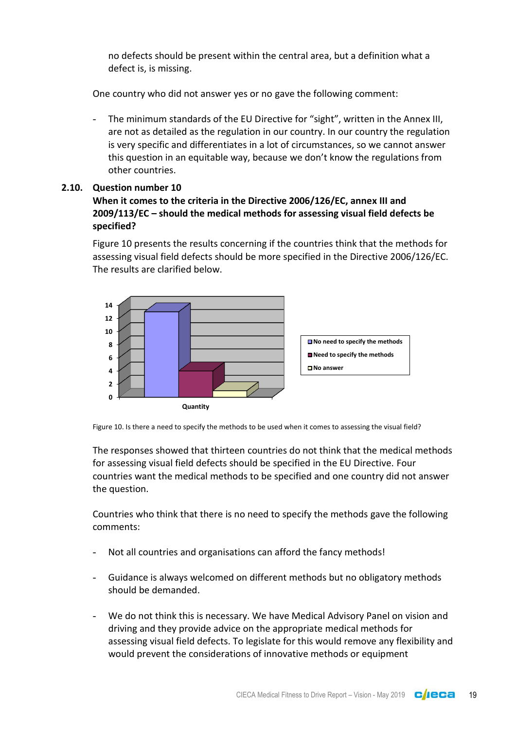no defects should be present within the central area, but a definition what a defect is, is missing.

One country who did not answer yes or no gave the following comment:

The minimum standards of the EU Directive for "sight", written in the Annex III, are not as detailed as the regulation in our country. In our country the regulation is very specific and differentiates in a lot of circumstances, so we cannot answer this question in an equitable way, because we don't know the regulations from other countries.

## <span id="page-18-0"></span>**2.10. Question number 10**

## **When it comes to the criteria in the Directive 2006/126/EC, annex III and 2009/113/EC – should the medical methods for assessing visual field defects be specified?**

Figure 10 presents the results concerning if the countries think that the methods for assessing visual field defects should be more specified in the Directive 2006/126/EC. The results are clarified below.



Figure 10. Is there a need to specify the methods to be used when it comes to assessing the visual field?

The responses showed that thirteen countries do not think that the medical methods for assessing visual field defects should be specified in the EU Directive. Four countries want the medical methods to be specified and one country did not answer the question.

Countries who think that there is no need to specify the methods gave the following comments:

- Not all countries and organisations can afford the fancy methods!
- Guidance is always welcomed on different methods but no obligatory methods should be demanded.
- We do not think this is necessary. We have Medical Advisory Panel on vision and driving and they provide advice on the appropriate medical methods for assessing visual field defects. To legislate for this would remove any flexibility and would prevent the considerations of innovative methods or equipment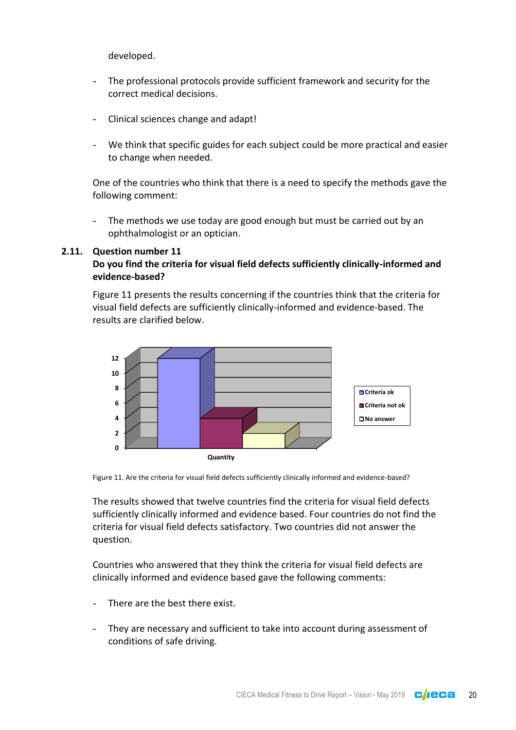developed.

- The professional protocols provide sufficient framework and security for the correct medical decisions.
- Clinical sciences change and adapt!
- We think that specific guides for each subject could be more practical and easier to change when needed.

One of the countries who think that there is a need to specify the methods gave the following comment:

The methods we use today are good enough but must be carried out by an ophthalmologist or an optician.

#### <span id="page-19-0"></span>**2.11. Question number 11**

#### **Do you find the criteria for visual field defects sufficiently clinically-informed and evidence-based?**

Figure 11 presents the results concerning if the countries think that the criteria for visual field defects are sufficiently clinically-informed and evidence-based. The results are clarified below.



Figure 11. Are the criteria for visual field defects sufficiently clinically informed and evidence-based?

The results showed that twelve countries find the criteria for visual field defects sufficiently clinically informed and evidence based. Four countries do not find the criteria for visual field defects satisfactory. Two countries did not answer the question.

Countries who answered that they think the criteria for visual field defects are clinically informed and evidence based gave the following comments:

- There are the best there exist.
- They are necessary and sufficient to take into account during assessment of conditions of safe driving.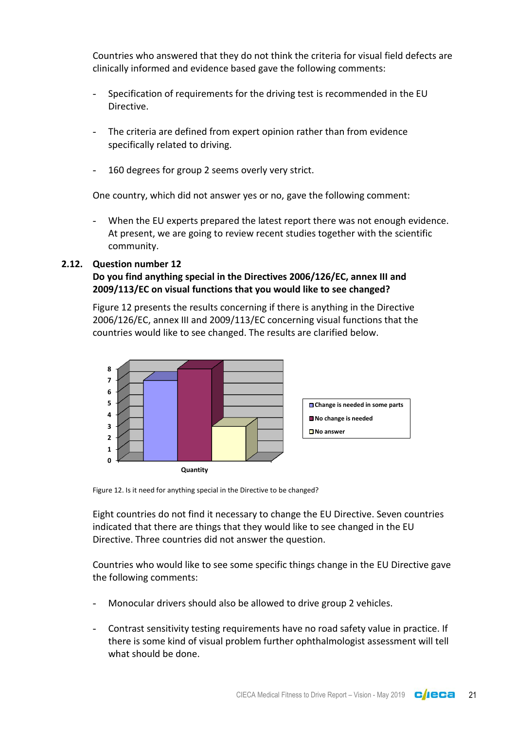Countries who answered that they do not think the criteria for visual field defects are clinically informed and evidence based gave the following comments:

- Specification of requirements for the driving test is recommended in the EU Directive.
- The criteria are defined from expert opinion rather than from evidence specifically related to driving.
- 160 degrees for group 2 seems overly very strict.

One country, which did not answer yes or no, gave the following comment:

When the EU experts prepared the latest report there was not enough evidence. At present, we are going to review recent studies together with the scientific community.

## <span id="page-20-0"></span>**2.12. Question number 12**

## **Do you find anything special in the Directives 2006/126/EC, annex III and 2009/113/EC on visual functions that you would like to see changed?**

Figure 12 presents the results concerning if there is anything in the Directive 2006/126/EC, annex III and 2009/113/EC concerning visual functions that the countries would like to see changed. The results are clarified below.



Figure 12. Is it need for anything special in the Directive to be changed?

Eight countries do not find it necessary to change the EU Directive. Seven countries indicated that there are things that they would like to see changed in the EU Directive. Three countries did not answer the question.

Countries who would like to see some specific things change in the EU Directive gave the following comments:

- Monocular drivers should also be allowed to drive group 2 vehicles.
- Contrast sensitivity testing requirements have no road safety value in practice. If there is some kind of visual problem further ophthalmologist assessment will tell what should be done.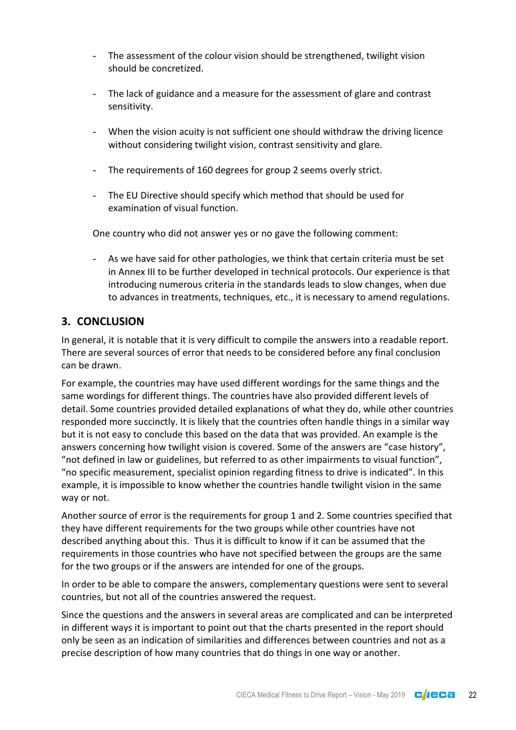- The assessment of the colour vision should be strengthened, twilight vision should be concretized.
- The lack of guidance and a measure for the assessment of glare and contrast sensitivity.
- When the vision acuity is not sufficient one should withdraw the driving licence without considering twilight vision, contrast sensitivity and glare.
- The requirements of 160 degrees for group 2 seems overly strict.
- The EU Directive should specify which method that should be used for examination of visual function.

One country who did not answer yes or no gave the following comment:

- As we have said for other pathologies, we think that certain criteria must be set in Annex III to be further developed in technical protocols. Our experience is that introducing numerous criteria in the standards leads to slow changes, when due to advances in treatments, techniques, etc., it is necessary to amend regulations.

## <span id="page-21-0"></span>**3. CONCLUSION**

In general, it is notable that it is very difficult to compile the answers into a readable report. There are several sources of error that needs to be considered before any final conclusion can be drawn.

For example, the countries may have used different wordings for the same things and the same wordings for different things. The countries have also provided different levels of detail. Some countries provided detailed explanations of what they do, while other countries responded more succinctly. It is likely that the countries often handle things in a similar way but it is not easy to conclude this based on the data that was provided. An example is the answers concerning how twilight vision is covered. Some of the answers are "case history", "not defined in law or guidelines, but referred to as other impairments to visual function", "no specific measurement, specialist opinion regarding fitness to drive is indicated". In this example, it is impossible to know whether the countries handle twilight vision in the same way or not.

Another source of error is the requirements for group 1 and 2. Some countries specified that they have different requirements for the two groups while other countries have not described anything about this. Thus it is difficult to know if it can be assumed that the requirements in those countries who have not specified between the groups are the same for the two groups or if the answers are intended for one of the groups.

In order to be able to compare the answers, complementary questions were sent to several countries, but not all of the countries answered the request.

Since the questions and the answers in several areas are complicated and can be interpreted in different ways it is important to point out that the charts presented in the report should only be seen as an indication of similarities and differences between countries and not as a precise description of how many countries that do things in one way or another.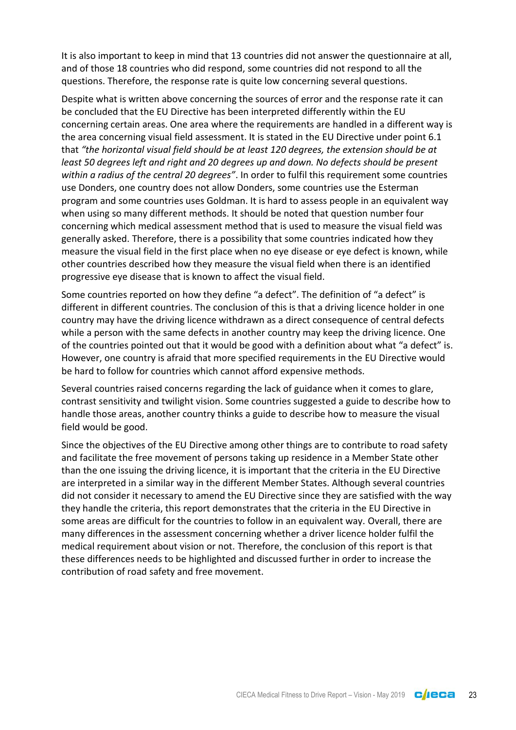It is also important to keep in mind that 13 countries did not answer the questionnaire at all, and of those 18 countries who did respond, some countries did not respond to all the questions. Therefore, the response rate is quite low concerning several questions.

Despite what is written above concerning the sources of error and the response rate it can be concluded that the EU Directive has been interpreted differently within the EU concerning certain areas. One area where the requirements are handled in a different way is the area concerning visual field assessment. It is stated in the EU Directive under point 6.1 that *"the horizontal visual field should be at least 120 degrees, the extension should be at least 50 degrees left and right and 20 degrees up and down. No defects should be present within a radius of the central 20 degrees"*. In order to fulfil this requirement some countries use Donders, one country does not allow Donders, some countries use the Esterman program and some countries uses Goldman. It is hard to assess people in an equivalent way when using so many different methods. It should be noted that question number four concerning which medical assessment method that is used to measure the visual field was generally asked. Therefore, there is a possibility that some countries indicated how they measure the visual field in the first place when no eye disease or eye defect is known, while other countries described how they measure the visual field when there is an identified progressive eye disease that is known to affect the visual field.

Some countries reported on how they define "a defect". The definition of "a defect" is different in different countries. The conclusion of this is that a driving licence holder in one country may have the driving licence withdrawn as a direct consequence of central defects while a person with the same defects in another country may keep the driving licence. One of the countries pointed out that it would be good with a definition about what "a defect" is. However, one country is afraid that more specified requirements in the EU Directive would be hard to follow for countries which cannot afford expensive methods.

Several countries raised concerns regarding the lack of guidance when it comes to glare, contrast sensitivity and twilight vision. Some countries suggested a guide to describe how to handle those areas, another country thinks a guide to describe how to measure the visual field would be good.

Since the objectives of the EU Directive among other things are to contribute to road safety and facilitate the free movement of persons taking up residence in a Member State other than the one issuing the driving licence, it is important that the criteria in the EU Directive are interpreted in a similar way in the different Member States. Although several countries did not consider it necessary to amend the EU Directive since they are satisfied with the way they handle the criteria, this report demonstrates that the criteria in the EU Directive in some areas are difficult for the countries to follow in an equivalent way. Overall, there are many differences in the assessment concerning whether a driver licence holder fulfil the medical requirement about vision or not. Therefore, the conclusion of this report is that these differences needs to be highlighted and discussed further in order to increase the contribution of road safety and free movement.